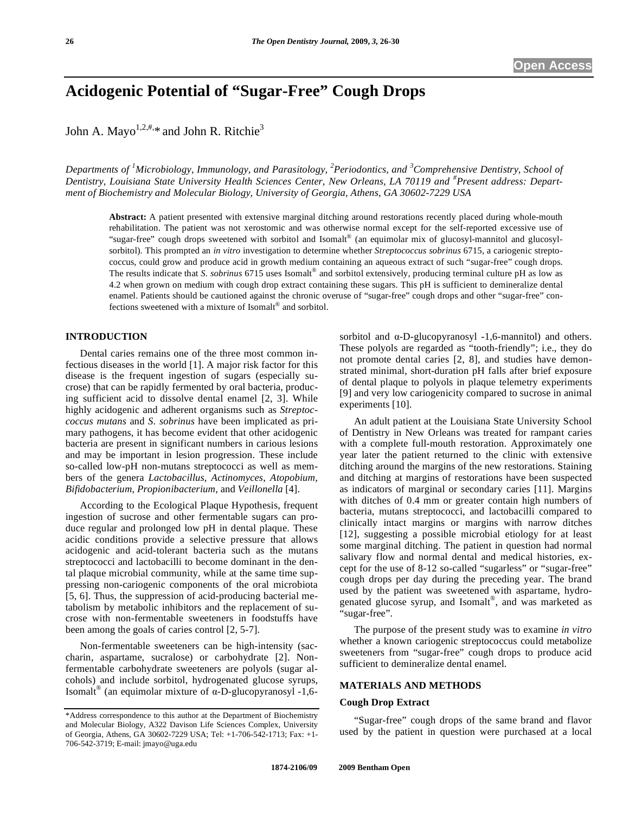# **Acidogenic Potential of "Sugar-Free" Cough Drops**

John A. Mayo<sup>1,2,#,\*</sup> and John R. Ritchie<sup>3</sup>

*Departments of <sup>1</sup> Microbiology, Immunology, and Parasitology, <sup>2</sup> Periodontics, and <sup>3</sup> Comprehensive Dentistry, School of Dentistry, Louisiana State University Health Sciences Center, New Orleans, LA 70119 and # Present address: Department of Biochemistry and Molecular Biology, University of Georgia, Athens, GA 30602-7229 USA* 

**Abstract:** A patient presented with extensive marginal ditching around restorations recently placed during whole-mouth rehabilitation. The patient was not xerostomic and was otherwise normal except for the self-reported excessive use of "sugar-free" cough drops sweetened with sorbitol and Isomalt® (an equimolar mix of glucosyl-mannitol and glucosylsorbitol). This prompted an *in vitro* investigation to determine whether *Streptococcus sobrinus* 6715, a cariogenic streptococcus, could grow and produce acid in growth medium containing an aqueous extract of such "sugar-free" cough drops. The results indicate that *S. sobrinus* 6715 uses Isomalt® and sorbitol extensively, producing terminal culture pH as low as 4.2 when grown on medium with cough drop extract containing these sugars. This pH is sufficient to demineralize dental enamel. Patients should be cautioned against the chronic overuse of "sugar-free" cough drops and other "sugar-free" confections sweetened with a mixture of Isomalt<sup>®</sup> and sorbitol.

## **INTRODUCTION**

 Dental caries remains one of the three most common infectious diseases in the world [1]. A major risk factor for this disease is the frequent ingestion of sugars (especially sucrose) that can be rapidly fermented by oral bacteria, producing sufficient acid to dissolve dental enamel [2, 3]. While highly acidogenic and adherent organisms such as *Streptoccoccus mutans* and *S. sobrinus* have been implicated as primary pathogens, it has become evident that other acidogenic bacteria are present in significant numbers in carious lesions and may be important in lesion progression. These include so-called low-pH non-mutans streptococci as well as members of the genera *Lactobacillus*, *Actinomyces*, *Atopobium*, *Bifidobacterium*, *Propionibacterium*, and *Veillonella* [4].

 According to the Ecological Plaque Hypothesis, frequent ingestion of sucrose and other fermentable sugars can produce regular and prolonged low pH in dental plaque. These acidic conditions provide a selective pressure that allows acidogenic and acid-tolerant bacteria such as the mutans streptococci and lactobacilli to become dominant in the dental plaque microbial community, while at the same time suppressing non-cariogenic components of the oral microbiota [5, 6]. Thus, the suppression of acid-producing bacterial metabolism by metabolic inhibitors and the replacement of sucrose with non-fermentable sweeteners in foodstuffs have been among the goals of caries control [2, 5-7].

 Non-fermentable sweeteners can be high-intensity (saccharin, aspartame, sucralose) or carbohydrate [2]. Nonfermentable carbohydrate sweeteners are polyols (sugar alcohols) and include sorbitol, hydrogenated glucose syrups, Isomalt<sup>®</sup> (an equimolar mixture of  $\alpha$ -D-glucopyranosyl -1,6sorbitol and  $\alpha$ -D-glucopyranosyl -1,6-mannitol) and others. These polyols are regarded as "tooth-friendly"; i.e., they do not promote dental caries [2, 8], and studies have demonstrated minimal, short-duration pH falls after brief exposure of dental plaque to polyols in plaque telemetry experiments [9] and very low cariogenicity compared to sucrose in animal experiments [10].

 An adult patient at the Louisiana State University School of Dentistry in New Orleans was treated for rampant caries with a complete full-mouth restoration. Approximately one year later the patient returned to the clinic with extensive ditching around the margins of the new restorations. Staining and ditching at margins of restorations have been suspected as indicators of marginal or secondary caries [11]. Margins with ditches of 0.4 mm or greater contain high numbers of bacteria, mutans streptococci, and lactobacilli compared to clinically intact margins or margins with narrow ditches [12], suggesting a possible microbial etiology for at least some marginal ditching. The patient in question had normal salivary flow and normal dental and medical histories, except for the use of 8-12 so-called "sugarless" or "sugar-free" cough drops per day during the preceding year. The brand used by the patient was sweetened with aspartame, hydrogenated glucose syrup, and Isomalt<sup>®</sup>, and was marketed as "sugar-free".

 The purpose of the present study was to examine *in vitro* whether a known cariogenic streptococcus could metabolize sweeteners from "sugar-free" cough drops to produce acid sufficient to demineralize dental enamel.

# **MATERIALS AND METHODS**

### **Cough Drop Extract**

 "Sugar-free" cough drops of the same brand and flavor used by the patient in question were purchased at a local

<sup>\*</sup>Address correspondence to this author at the Department of Biochemistry and Molecular Biology, A322 Davison Life Sciences Complex, University of Georgia, Athens, GA 30602-7229 USA; Tel: +1-706-542-1713; Fax: +1- 706-542-3719; E-mail: jmayo@uga.edu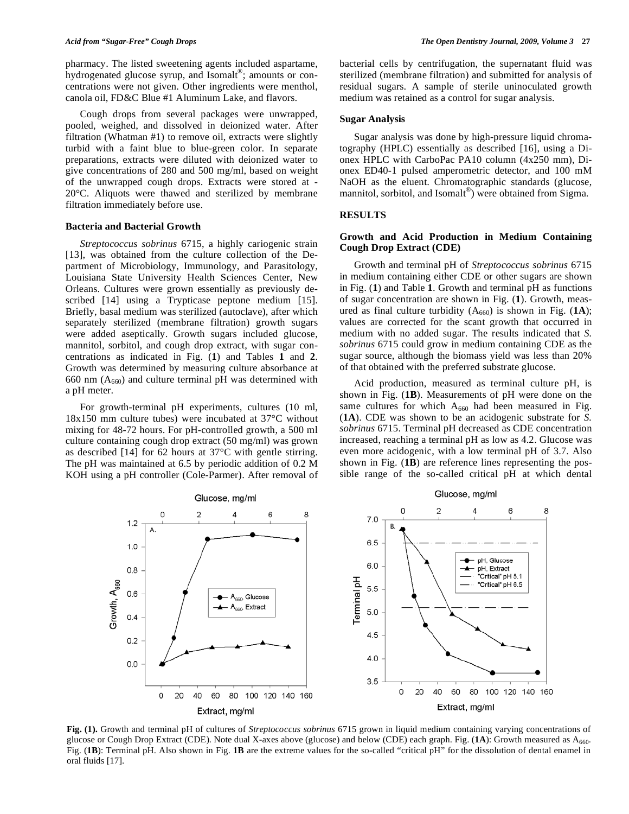pharmacy. The listed sweetening agents included aspartame, hydrogenated glucose syrup, and Isomalt<sup>®</sup>; amounts or concentrations were not given. Other ingredients were menthol, canola oil, FD&C Blue #1 Aluminum Lake, and flavors.

 Cough drops from several packages were unwrapped, pooled, weighed, and dissolved in deionized water. After filtration (Whatman #1) to remove oil, extracts were slightly turbid with a faint blue to blue-green color. In separate preparations, extracts were diluted with deionized water to give concentrations of 280 and 500 mg/ml, based on weight of the unwrapped cough drops. Extracts were stored at - 20°C. Aliquots were thawed and sterilized by membrane filtration immediately before use.

### **Bacteria and Bacterial Growth**

 *Streptococcus sobrinus* 6715, a highly cariogenic strain [13], was obtained from the culture collection of the Department of Microbiology, Immunology, and Parasitology, Louisiana State University Health Sciences Center, New Orleans. Cultures were grown essentially as previously described [14] using a Trypticase peptone medium [15]. Briefly, basal medium was sterilized (autoclave), after which separately sterilized (membrane filtration) growth sugars were added aseptically. Growth sugars included glucose, mannitol, sorbitol, and cough drop extract, with sugar concentrations as indicated in Fig. (**1**) and Tables **1** and **2**. Growth was determined by measuring culture absorbance at 660 nm  $(A<sub>660</sub>)$  and culture terminal pH was determined with a pH meter.

 For growth-terminal pH experiments, cultures (10 ml, 18x150 mm culture tubes) were incubated at 37°C without mixing for 48-72 hours. For pH-controlled growth, a 500 ml culture containing cough drop extract (50 mg/ml) was grown as described [14] for 62 hours at 37°C with gentle stirring. The pH was maintained at 6.5 by periodic addition of 0.2 M KOH using a pH controller (Cole-Parmer). After removal of bacterial cells by centrifugation, the supernatant fluid was sterilized (membrane filtration) and submitted for analysis of residual sugars. A sample of sterile uninoculated growth medium was retained as a control for sugar analysis.

#### **Sugar Analysis**

 Sugar analysis was done by high-pressure liquid chromatography (HPLC) essentially as described [16], using a Dionex HPLC with CarboPac PA10 column (4x250 mm), Dionex ED40-1 pulsed amperometric detector, and 100 mM NaOH as the eluent. Chromatographic standards (glucose, mannitol, sorbitol, and Isomalt<sup>®</sup>) were obtained from Sigma.

# **RESULTS**

# **Growth and Acid Production in Medium Containing Cough Drop Extract (CDE)**

 Growth and terminal pH of *Streptococcus sobrinus* 6715 in medium containing either CDE or other sugars are shown in Fig. (**1**) and Table **1**. Growth and terminal pH as functions of sugar concentration are shown in Fig. (**1**). Growth, measured as final culture turbidity  $(A_{660})$  is shown in Fig.  $(1A)$ ; values are corrected for the scant growth that occurred in medium with no added sugar. The results indicated that *S. sobrinus* 6715 could grow in medium containing CDE as the sugar source, although the biomass yield was less than 20% of that obtained with the preferred substrate glucose.

 Acid production, measured as terminal culture pH, is shown in Fig. (**1B**). Measurements of pH were done on the same cultures for which  $A_{660}$  had been measured in Fig. (**1A**). CDE was shown to be an acidogenic substrate for *S. sobrinus* 6715. Terminal pH decreased as CDE concentration increased, reaching a terminal pH as low as 4.2. Glucose was even more acidogenic, with a low terminal pH of 3.7. Also shown in Fig. (**1B**) are reference lines representing the possible range of the so-called critical pH at which dental



**Fig. (1).** Growth and terminal pH of cultures of *Streptococcus sobrinus* 6715 grown in liquid medium containing varying concentrations of glucose or Cough Drop Extract (CDE). Note dual X-axes above (glucose) and below (CDE) each graph. Fig. (1A): Growth measured as A<sub>660</sub>. Fig. (**1B**): Terminal pH. Also shown in Fig. **1B** are the extreme values for the so-called "critical pH" for the dissolution of dental enamel in oral fluids [17].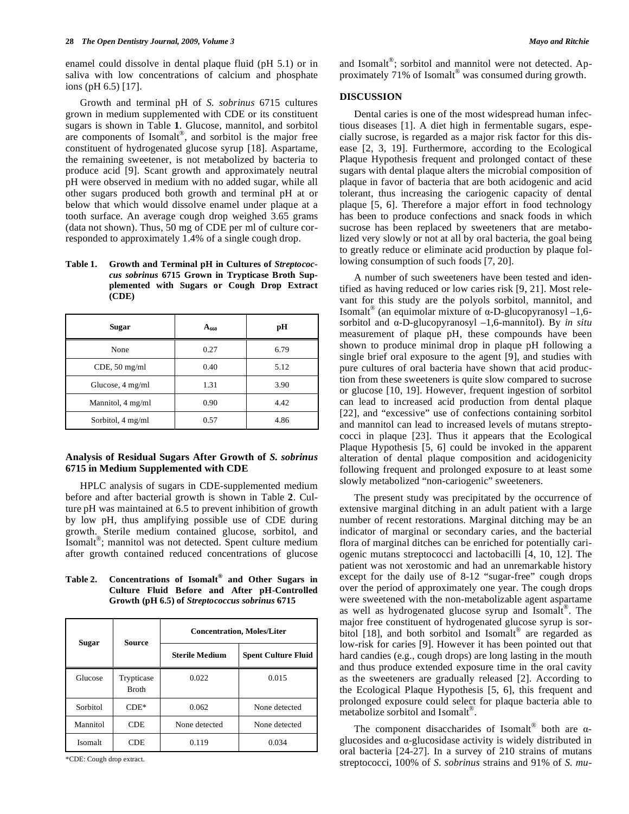enamel could dissolve in dental plaque fluid (pH 5.1) or in saliva with low concentrations of calcium and phosphate ions (pH 6.5) [17].

 Growth and terminal pH of *S. sobrinus* 6715 cultures grown in medium supplemented with CDE or its constituent sugars is shown in Table **1**. Glucose, mannitol, and sorbitol are components of Isomal $t^{\circledast}$ , and sorbitol is the major free constituent of hydrogenated glucose syrup [18]. Aspartame, the remaining sweetener, is not metabolized by bacteria to produce acid [9]. Scant growth and approximately neutral pH were observed in medium with no added sugar, while all other sugars produced both growth and terminal pH at or below that which would dissolve enamel under plaque at a tooth surface. An average cough drop weighed 3.65 grams (data not shown). Thus, 50 mg of CDE per ml of culture corresponded to approximately 1.4% of a single cough drop.

Table 1. Growth and Terminal pH in Cultures of *Streptococcus sobrinus* **6715 Grown in Trypticase Broth Supplemented with Sugars or Cough Drop Extract (CDE)** 

| <b>Sugar</b>      | $A_{660}$ | рH   |
|-------------------|-----------|------|
| None              | 0.27      | 6.79 |
| $CDE$ , 50 mg/ml  | 0.40      | 5.12 |
| Glucose, 4 mg/ml  | 1.31      | 3.90 |
| Mannitol, 4 mg/ml | 0.90      | 4.42 |
| Sorbitol, 4 mg/ml | 0.57      | 4.86 |

# **Analysis of Residual Sugars After Growth of** *S. sobrinus* **6715 in Medium Supplemented with CDE**

 HPLC analysis of sugars in CDE-supplemented medium before and after bacterial growth is shown in Table **2**. Culture pH was maintained at 6.5 to prevent inhibition of growth by low pH, thus amplifying possible use of CDE during growth. Sterile medium contained glucose, sorbitol, and Isomalt®; mannitol was not detected. Spent culture medium after growth contained reduced concentrations of glucose

**Table 2. Concentrations of Isomalt® and Other Sugars in Culture Fluid Before and After pH-Controlled Growth (pH 6.5) of** *Streptococcus sobrinus* **6715** 

| Sugar    | Source                     | <b>Concentration, Moles/Liter</b> |                            |
|----------|----------------------------|-----------------------------------|----------------------------|
|          |                            | <b>Sterile Medium</b>             | <b>Spent Culture Fluid</b> |
| Glucose  | Trypticase<br><b>Broth</b> | 0.022                             | 0.015                      |
| Sorbitol | $CDF*$                     | 0.062                             | None detected              |
| Mannitol | CDE                        | None detected                     | None detected              |
| Isomalt  | CDE                        | 0.119                             | 0.034                      |

\*CDE: Cough drop extract.

and Isomalt<sup>®</sup>; sorbitol and mannitol were not detected. Approximately 71% of Isomalt® was consumed during growth.

# **DISCUSSION**

 Dental caries is one of the most widespread human infectious diseases [1]. A diet high in fermentable sugars, especially sucrose, is regarded as a major risk factor for this disease [2, 3, 19]. Furthermore, according to the Ecological Plaque Hypothesis frequent and prolonged contact of these sugars with dental plaque alters the microbial composition of plaque in favor of bacteria that are both acidogenic and acid tolerant, thus increasing the cariogenic capacity of dental plaque [5, 6]. Therefore a major effort in food technology has been to produce confections and snack foods in which sucrose has been replaced by sweeteners that are metabolized very slowly or not at all by oral bacteria, the goal being to greatly reduce or eliminate acid production by plaque following consumption of such foods [7, 20].

 A number of such sweeteners have been tested and identified as having reduced or low caries risk [9, 21]. Most relevant for this study are the polyols sorbitol, mannitol, and Isomalt<sup>®</sup> (an equimolar mixture of α-D-glucopyranosyl -1,6sorbitol and  $\alpha$ -D-glucopyranosyl  $-1,6$ -mannitol). By *in situ* measurement of plaque pH, these compounds have been shown to produce minimal drop in plaque pH following a single brief oral exposure to the agent [9], and studies with pure cultures of oral bacteria have shown that acid production from these sweeteners is quite slow compared to sucrose or glucose [10, 19]. However, frequent ingestion of sorbitol can lead to increased acid production from dental plaque [22], and "excessive" use of confections containing sorbitol and mannitol can lead to increased levels of mutans streptococci in plaque [23]. Thus it appears that the Ecological Plaque Hypothesis [5, 6] could be invoked in the apparent alteration of dental plaque composition and acidogenicity following frequent and prolonged exposure to at least some slowly metabolized "non-cariogenic" sweeteners.

 The present study was precipitated by the occurrence of extensive marginal ditching in an adult patient with a large number of recent restorations. Marginal ditching may be an indicator of marginal or secondary caries, and the bacterial flora of marginal ditches can be enriched for potentially cariogenic mutans streptococci and lactobacilli [4, 10, 12]. The patient was not xerostomic and had an unremarkable history except for the daily use of 8-12 "sugar-free" cough drops over the period of approximately one year. The cough drops were sweetened with the non-metabolizable agent aspartame as well as hydrogenated glucose syrup and Isomalt®. The major free constituent of hydrogenated glucose syrup is sorbitol [18], and both sorbitol and Isomalt<sup>®</sup> are regarded as low-risk for caries [9]. However it has been pointed out that hard candies (e.g., cough drops) are long lasting in the mouth and thus produce extended exposure time in the oral cavity as the sweeteners are gradually released [2]. According to the Ecological Plaque Hypothesis [5, 6], this frequent and prolonged exposure could select for plaque bacteria able to metabolize sorbitol and Isomalt®.

The component disaccharides of Isomalt® both are  $\alpha$ glucosides and  $\alpha$ -glucosidase activity is widely distributed in oral bacteria [24-27]. In a survey of 210 strains of mutans streptococci, 100% of *S. sobrinus* strains and 91% of *S. mu-*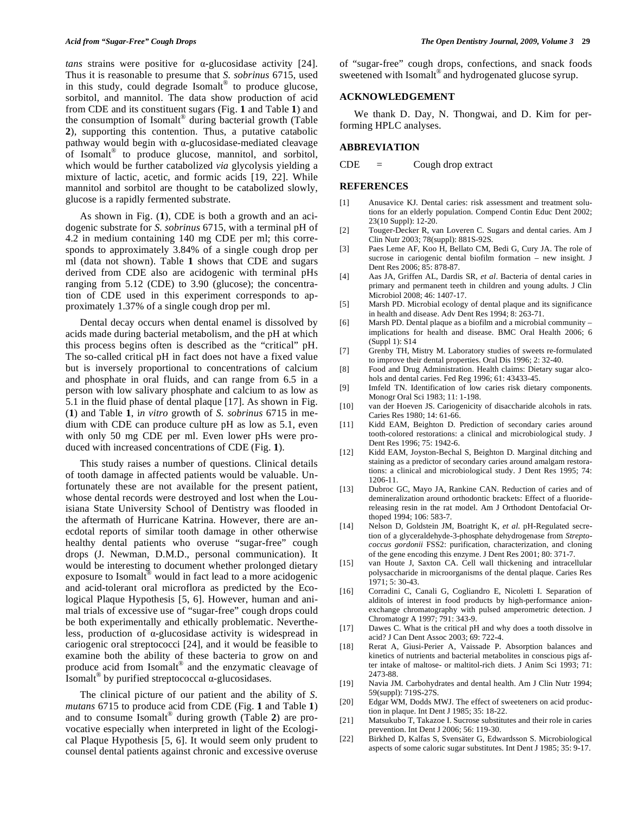*tans* strains were positive for  $\alpha$ -glucosidase activity [24]. Thus it is reasonable to presume that *S. sobrinus* 6715, used in this study, could degrade Isomalt<sup>®</sup> to produce glucose, sorbitol, and mannitol. The data show production of acid from CDE and its constituent sugars (Fig. **1** and Table **1**) and the consumption of Isomalt® during bacterial growth (Table **2**), supporting this contention. Thus, a putative catabolic pathway would begin with  $\alpha$ -glucosidase-mediated cleavage of Isomalt® to produce glucose, mannitol, and sorbitol, which would be further catabolized *via* glycolysis yielding a mixture of lactic, acetic, and formic acids [19, 22]. While mannitol and sorbitol are thought to be catabolized slowly, glucose is a rapidly fermented substrate.

 As shown in Fig. (**1**), CDE is both a growth and an acidogenic substrate for *S. sobrinus* 6715, with a terminal pH of 4.2 in medium containing 140 mg CDE per ml; this corresponds to approximately 3.84% of a single cough drop per ml (data not shown). Table **1** shows that CDE and sugars derived from CDE also are acidogenic with terminal pHs ranging from 5.12 (CDE) to 3.90 (glucose); the concentration of CDE used in this experiment corresponds to approximately 1.37% of a single cough drop per ml.

 Dental decay occurs when dental enamel is dissolved by acids made during bacterial metabolism, and the pH at which this process begins often is described as the "critical" pH. The so-called critical pH in fact does not have a fixed value but is inversely proportional to concentrations of calcium and phosphate in oral fluids, and can range from 6.5 in a person with low salivary phosphate and calcium to as low as 5.1 in the fluid phase of dental plaque [17]. As shown in Fig. (**1**) and Table **1**, i*n vitro* growth of *S. sobrinus* 6715 in medium with CDE can produce culture pH as low as 5.1, even with only 50 mg CDE per ml. Even lower pHs were produced with increased concentrations of CDE (Fig. **1**).

 This study raises a number of questions. Clinical details of tooth damage in affected patients would be valuable. Unfortunately these are not available for the present patient, whose dental records were destroyed and lost when the Louisiana State University School of Dentistry was flooded in the aftermath of Hurricane Katrina. However, there are anecdotal reports of similar tooth damage in other otherwise healthy dental patients who overuse "sugar-free" cough drops (J. Newman, D.M.D., personal communication). It would be interesting to document whether prolonged dietary exposure to Isomalt® would in fact lead to a more acidogenic and acid-tolerant oral microflora as predicted by the Ecological Plaque Hypothesis [5, 6]. However, human and animal trials of excessive use of "sugar-free" cough drops could be both experimentally and ethically problematic. Nevertheless, production of  $\alpha$ -glucosidase activity is widespread in cariogenic oral streptococci [24], and it would be feasible to examine both the ability of these bacteria to grow on and produce acid from Isomalt® and the enzymatic cleavage of  $\overline{I}$ somalt<sup>®</sup> by purified streptococcal  $\alpha$ -glucosidases.

 The clinical picture of our patient and the ability of *S. mutans* 6715 to produce acid from CDE (Fig. **1** and Table **1**) and to consume Isomalt® during growth (Table **2**) are provocative especially when interpreted in light of the Ecological Plaque Hypothesis [5, 6]. It would seem only prudent to counsel dental patients against chronic and excessive overuse of "sugar-free" cough drops, confections, and snack foods sweetened with Isomalt<sup>®</sup> and hydrogenated glucose syrup.

## **ACKNOWLEDGEMENT**

 We thank D. Day, N. Thongwai, and D. Kim for performing HPLC analyses.

# **ABBREVIATION**

 $CDE = Cough drop extract$ 

#### **REFERENCES**

- [1] Anusavice KJ. Dental caries: risk assessment and treatment solutions for an elderly population. Compend Contin Educ Dent 2002; 23(10 Suppl): 12-20.
- [2] Touger-Decker R, van Loveren C. Sugars and dental caries. Am J Clin Nutr 2003; 78(suppl): 881S-92S.
- [3] Paes Leme AF, Koo H, Bellato CM, Bedi G, Cury JA. The role of sucrose in cariogenic dental biofilm formation – new insight. J Dent Res 2006; 85: 878-87.
- [4] Aas JA, Griffen AL, Dardis SR, *et al*. Bacteria of dental caries in primary and permanent teeth in children and young adults. J Clin Microbiol 2008; 46: 1407-17.
- [5] Marsh PD. Microbial ecology of dental plaque and its significance in health and disease. Adv Dent Res 1994; 8: 263-71.
- [6] Marsh PD. Dental plaque as a biofilm and a microbial community implications for health and disease. BMC Oral Health 2006; 6 (Suppl 1): S14
- [7] Grenby TH, Mistry M. Laboratory studies of sweets re-formulated to improve their dental properties. Oral Dis 1996; 2: 32-40.
- [8] Food and Drug Administration. Health claims: Dietary sugar alcohols and dental caries. Fed Reg 1996; 61: 43433-45.
- [9] Imfeld TN. Identification of low caries risk dietary components. Monogr Oral Sci 1983; 11: 1-198.
- [10] van der Hoeven JS. Cariogenicity of disaccharide alcohols in rats. Caries Res 1980; 14: 61-66.
- [11] Kidd EAM, Beighton D. Prediction of secondary caries around tooth-colored restorations: a clinical and microbiological study. J Dent Res 1996; 75: 1942-6.
- [12] Kidd EAM, Joyston-Bechal S, Beighton D. Marginal ditching and staining as a predictor of secondary caries around amalgam restorations: a clinical and microbiological study. J Dent Res 1995; 74: 1206-11.
- [13] Dubroc GC, Mayo JA, Rankine CAN. Reduction of caries and of demineralization around orthodontic brackets: Effect of a fluoridereleasing resin in the rat model. Am J Orthodont Dentofacial Orthoped 1994; 106: 583-7.
- [14] Nelson D, Goldstein JM, Boatright K, *et al*. pH-Regulated secretion of a glyceraldehyde-3-phosphate dehydrogenase from *Streptococcus gordonii* FSS2: purification, characterization, and cloning of the gene encoding this enzyme. J Dent Res 2001; 80: 371-7.
- [15] van Houte J, Saxton CA. Cell wall thickening and intracellular polysaccharide in microorganisms of the dental plaque. Caries Res  $1971: 5: 30-43.$
- [16] Corradini C, Canali G, Cogliandro E, Nicoletti I. Separation of alditols of interest in food products by high-performance anionexchange chromatography with pulsed amperometric detection. J Chromatogr A 1997; 791: 343-9.
- [17] Dawes C. What is the critical pH and why does a tooth dissolve in acid? J Can Dent Assoc 2003; 69: 722-4.
- [18] Rerat A, Giusi-Perier A, Vaissade P. Absorption balances and kinetics of nutrients and bacterial metabolites in conscious pigs after intake of maltose- or maltitol-rich diets. J Anim Sci 1993; 71: 2473-88.
- [19] Navia JM. Carbohydrates and dental health. Am J Clin Nutr 1994; 59(suppl): 719S-27S.
- [20] Edgar WM, Dodds MWJ. The effect of sweeteners on acid production in plaque. Int Dent J 1985; 35: 18-22.
- [21] Matsukubo T, Takazoe I. Sucrose substitutes and their role in caries prevention. Int Dent J 2006; 56: 119-30.
- [22] Birkhed D, Kalfas S, Svensäter G, Edwardsson S. Microbiological aspects of some caloric sugar substitutes. Int Dent J 1985; 35: 9-17.